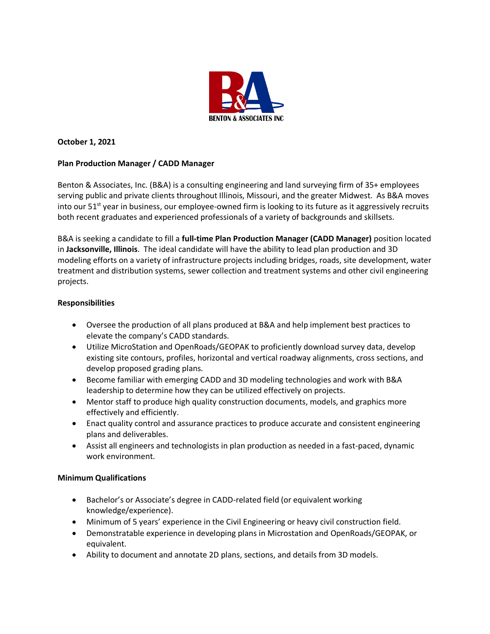

# **October 1, 2021**

## **Plan Production Manager / CADD Manager**

Benton & Associates, Inc. (B&A) is a consulting engineering and land surveying firm of 35+ employees serving public and private clients throughout Illinois, Missouri, and the greater Midwest. As B&A moves into our  $51<sup>st</sup>$  year in business, our employee-owned firm is looking to its future as it aggressively recruits both recent graduates and experienced professionals of a variety of backgrounds and skillsets.

B&A is seeking a candidate to fill a **full-time Plan Production Manager (CADD Manager)** position located in **Jacksonville, Illinois**. The ideal candidate will have the ability to lead plan production and 3D modeling efforts on a variety of infrastructure projects including bridges, roads, site development, water treatment and distribution systems, sewer collection and treatment systems and other civil engineering projects.

### **Responsibilities**

- Oversee the production of all plans produced at B&A and help implement best practices to elevate the company's CADD standards.
- Utilize MicroStation and OpenRoads/GEOPAK to proficiently download survey data, develop existing site contours, profiles, horizontal and vertical roadway alignments, cross sections, and develop proposed grading plans.
- Become familiar with emerging CADD and 3D modeling technologies and work with B&A leadership to determine how they can be utilized effectively on projects.
- Mentor staff to produce high quality construction documents, models, and graphics more effectively and efficiently.
- Enact quality control and assurance practices to produce accurate and consistent engineering plans and deliverables.
- Assist all engineers and technologists in plan production as needed in a fast-paced, dynamic work environment.

### **Minimum Qualifications**

- Bachelor's or Associate's degree in CADD-related field (or equivalent working knowledge/experience).
- Minimum of 5 years' experience in the Civil Engineering or heavy civil construction field.
- Demonstratable experience in developing plans in Microstation and OpenRoads/GEOPAK, or equivalent.
- Ability to document and annotate 2D plans, sections, and details from 3D models.